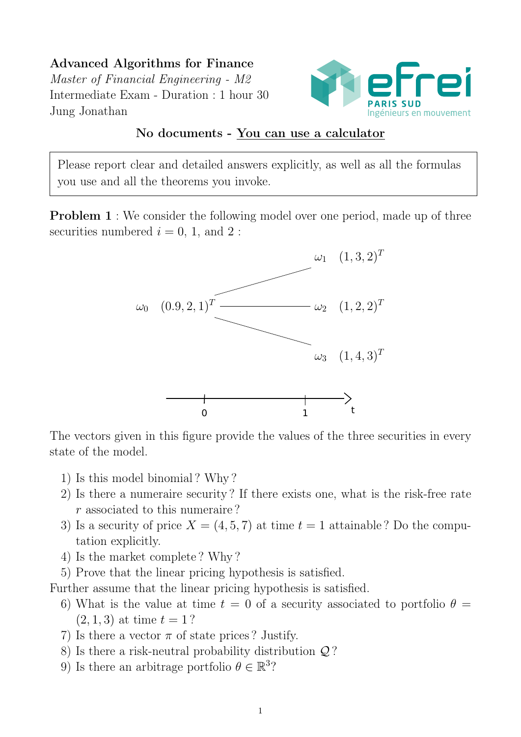Advanced Algorithms for Finance Master of Financial Engineering - M2 Intermediate Exam - Duration : 1 hour 30 Jung Jonathan



## No documents - You can use a calculator

Please report clear and detailed answers explicitly, as well as all the formulas you use and all the theorems you invoke.

**Problem 1** : We consider the following model over one period, made up of three securities numbered  $i = 0, 1,$  and 2 :



The vectors given in this figure provide the values of the three securities in every state of the model.

- 1) Is this model binomial ? Why ?
- 2) Is there a numeraire security ? If there exists one, what is the risk-free rate r associated to this numeraire ?
- 3) Is a security of price  $X = (4, 5, 7)$  at time  $t = 1$  attainable? Do the computation explicitly.
- 4) Is the market complete ? Why ?
- 5) Prove that the linear pricing hypothesis is satisfied.

Further assume that the linear pricing hypothesis is satisfied.

- 6) What is the value at time  $t = 0$  of a security associated to portfolio  $\theta =$  $(2, 1, 3)$  at time  $t = 1$ ?
- 7) Is there a vector  $\pi$  of state prices ? Justify.
- 8) Is there a risk-neutral probability distribution Q ?
- 9) Is there an arbitrage portfolio  $\theta \in \mathbb{R}^3$ ?